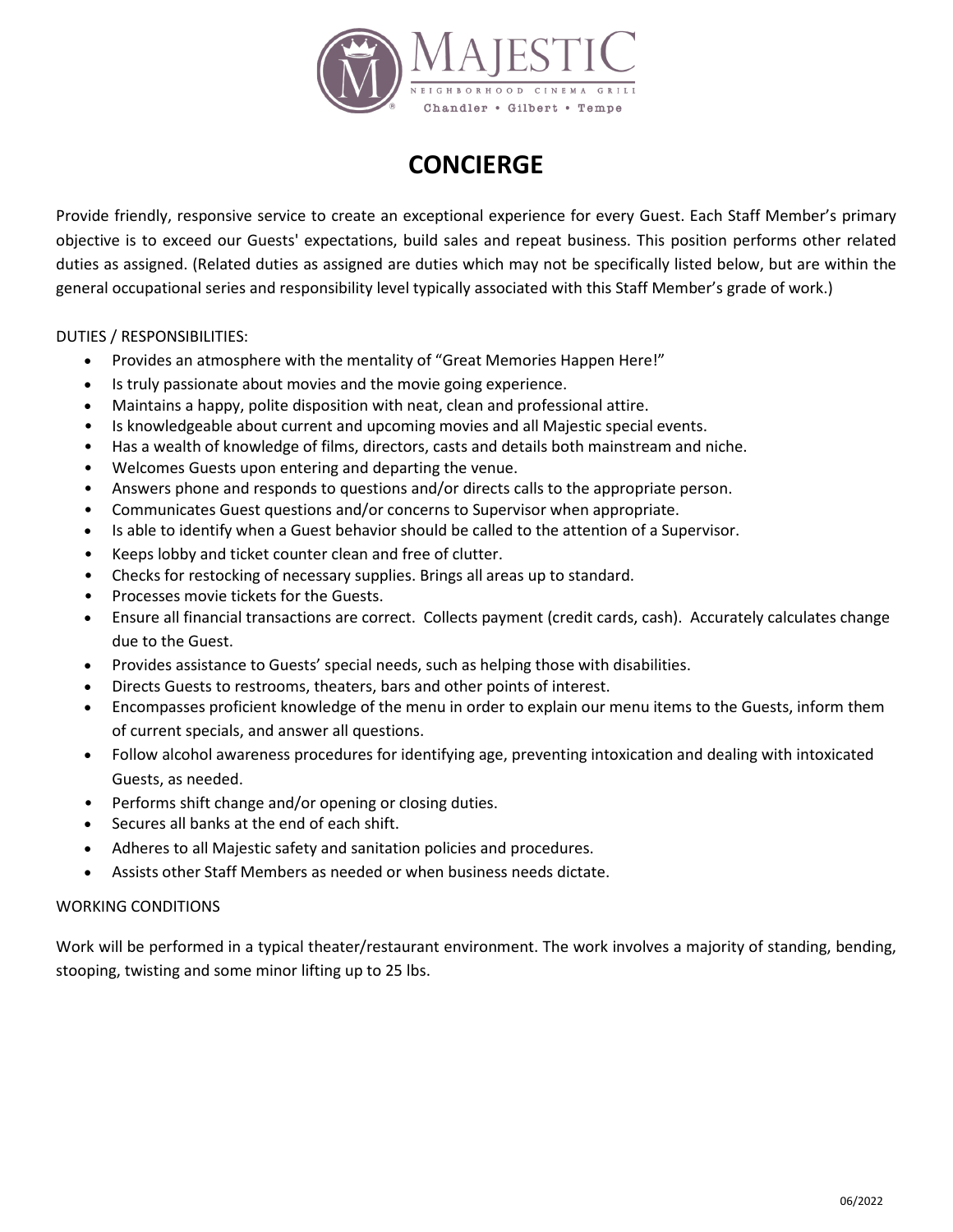

## **CONCIERGE**

Provide friendly, responsive service to create an exceptional experience for every Guest. Each Staff Member's primary objective is to exceed our Guests' expectations, build sales and repeat business. This position performs other related duties as assigned. (Related duties as assigned are duties which may not be specifically listed below, but are within the general occupational series and responsibility level typically associated with this Staff Member's grade of work.)

DUTIES / RESPONSIBILITIES:

- Provides an atmosphere with the mentality of "Great Memories Happen Here!"
- Is truly passionate about movies and the movie going experience.
- Maintains a happy, polite disposition with neat, clean and professional attire.
- Is knowledgeable about current and upcoming movies and all Majestic special events.
- Has a wealth of knowledge of films, directors, casts and details both mainstream and niche.
- Welcomes Guests upon entering and departing the venue.
- Answers phone and responds to questions and/or directs calls to the appropriate person.
- Communicates Guest questions and/or concerns to Supervisor when appropriate.
- Is able to identify when a Guest behavior should be called to the attention of a Supervisor.
- Keeps lobby and ticket counter clean and free of clutter.
- Checks for restocking of necessary supplies. Brings all areas up to standard.
- Processes movie tickets for the Guests.
- Ensure all financial transactions are correct. Collects payment (credit cards, cash). Accurately calculates change due to the Guest.
- Provides assistance to Guests' special needs, such as helping those with disabilities.
- Directs Guests to restrooms, theaters, bars and other points of interest.
- Encompasses proficient knowledge of the menu in order to explain our menu items to the Guests, inform them of current specials, and answer all questions.
- Follow alcohol awareness procedures for identifying age, preventing intoxication and dealing with intoxicated Guests, as needed.
- Performs shift change and/or opening or closing duties.
- Secures all banks at the end of each shift.
- Adheres to all Majestic safety and sanitation policies and procedures.
- Assists other Staff Members as needed or when business needs dictate.

## WORKING CONDITIONS

Work will be performed in a typical theater/restaurant environment. The work involves a majority of standing, bending, stooping, twisting and some minor lifting up to 25 lbs.